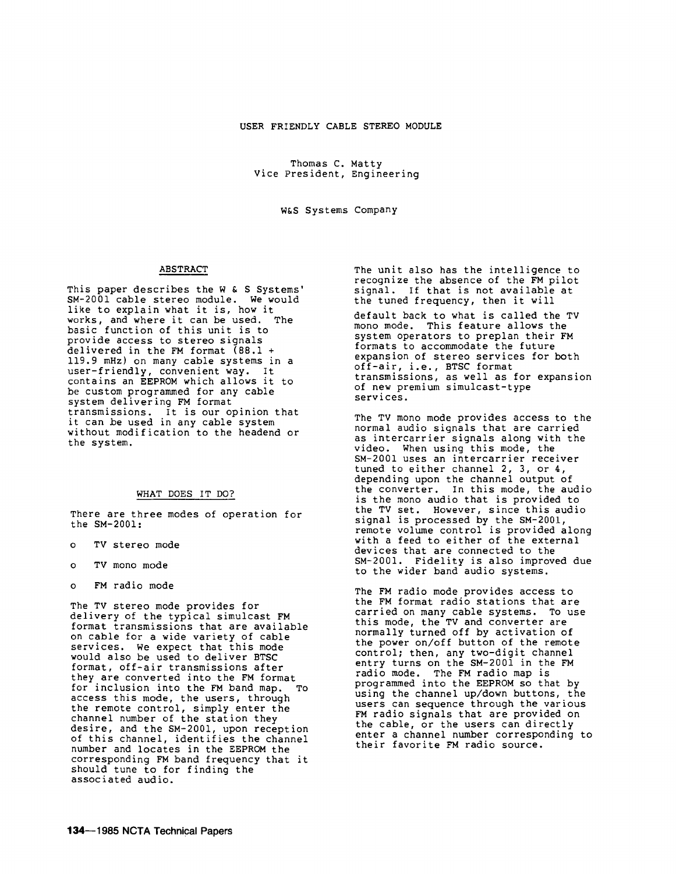Thomas c. Matty Vice President, Engineering

W&S Systems Company

## ABSTRACT

This paper describes the W & S Systems' SM-2001 cable stereo module. We would like to explain what it is, how it works, and where it can be used. The basic function of this unit is to provide access to stereo signals delivered in the FM format  $(88.1 +$ 119.9 mHz) on many cable systems in a user-friendly, convenient way. It contains an EEPROM which allows it to be custom programmed for any cable system delivering FM format transmissions. It is our opinion that it can be used in any cable system without modification to the headend or the system.

## WHAT DOES IT DO?

There are three modes of operation for the SM-2001:

- TV stereo mode
- o TV mono mode
- o FM radio mode

The TV stereo mode provides for delivery of the typical simulcast FM format transmissions that are available on cable for a wide variety of cable services. we expect that this mode would also be used to deliver BTSC format, off-air transmissions after they are converted into the FM format for inclusion into the FM band map. To access this mode, the users, through the remote control, simply enter the channel number of the station they desire, and the SM-2001, upon reception of this channel, identifies the channel number and locates in the EEPROM the corresponding FM band frequency that it should tune to for finding the associated audio.

The unit also has the intelligence to recognize the absence of the FM pilot signal. If that is not available at the tuned frequency, then it will

default back to what is called the TV mono mode. This feature allows the system operators to preplan their FM formats to accommodate the future expansion of stereo services for both off-air, i.e., BTSC format transmissions, as well as for expansion of new premium simulcast-type services.

The TV mono mode provides access to the normal audio signals that are carried as intercarrier signals along with the video. When using this mode, the SM-2001 uses an intercarrier receiver tuned to either channel 2, 3, or 4,<br>depending upon the channel output of the converter. In this mode, the audio is the mono audio that is provided to the TV set. However, since this audio signal is processed by the SM-2001, remote volume control is provided along with a feed to either of the external devices that are connected to the SM-2001. Fidelity is also improved due to the wider band audio systems.

The FM radio mode provides access to the FM format radio stations that are carried on many cable systems. To use this mode, the TV and converter are normally turned off by activation of the power on/off button of the remote control; then, any two-digit channel entry turns on the SM-2001 in the FM radio mode. The FM radio map is programmed into the EEPROM so that by using the channel up/down buttons, the users can sequence through the various FM radio signals that are provided on the cable, or the users can directly enter a channel number corresponding to their favorite FM radio source.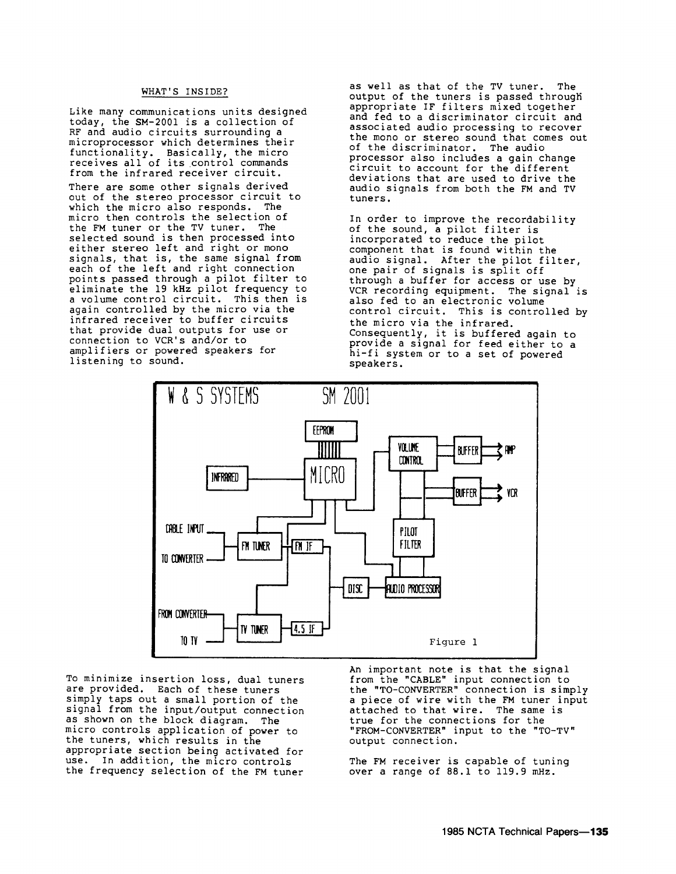# WHAT'S INSIDE?

Like many communications units designed today, the SM-2001 is a collection of RF and audio circuits surrounding a microprocessor which determines their functionality. Basically, the micro receives all of its control commands from the infrared receiver circuit. There are some other signals derived out of the stereo processor circuit to which the micro also responds. The micro then controls the selection of the FM tuner or the TV tuner. The selected sound is then processed into either stereo left and right or mono signals, that is, the same signal from each of the left and right connection points passed through a pilot filter to eliminate the 19 kHz pilot frequency to a volume control circuit. This then is again controlled by the micro via the infrared receiver to buffer circuits that provide dual outputs for use or connection to VCR's and/or to amplifiers or powered speakers for listening to sound.

as well as that of the TV tuner. The output of the tuners is passed through appropriate IF filters mixed together and fed to a discriminator circuit and associated audio processing to recover the mono or stereo sound that comes out of the discriminator. The audio processor also includes a gain change circuit to account for the different deviations that are used to drive the audio signals from both the FM and TV tuners.

In order to improve the recordability of the sound, a pilot filter is incorporated to reduce the pilot component that is found within the audio signal. After the pilot filter, one pair of signals is split off through a buffer for access or use by VCR recording equipment. The signal is also fed to an electronic volume control circuit. This is controlled by the micro via the infrared. Consequently, it is buffered again to provide a signal for feed either to a hi-fi system or to a set of powered speakers.



To minimize insertion loss, dual tuners are provided. Each of these tuners simply taps out a small portion of the signal from the input/output connection as shown on the block diagram. The micro controls application of power to the tuners, which results in the appropriate section being activated for use. In addition, the micro controls the frequency selection of the FM tuner An important note is that the signal from the "CABLE" input connection to the "TO-CONVERTER" connection is simply a piece of wire with the FM tuner input attached to that wire. The same is true for the connections for the "FROM-CONVERTER" input to the "TO-TV" output connection.

The FM receiver is capable of tuning over a range of 88.1 to 119.9 mHz.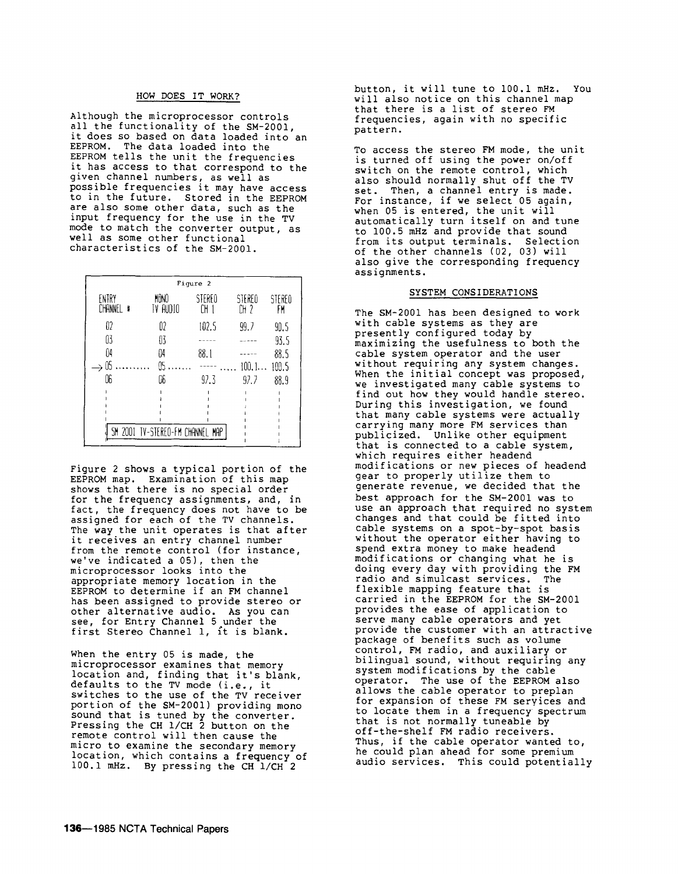#### HOW DOES IT WORK?

Although the microprocessor controls all the functionality of the SM-2001 it does so based on data loaded into an EEPROM. The data loaded into the EEPROM tells the unit the frequencies it has access to that correspond to the given channel numbers, as well as possible frequencies it may have access to in the future. Stored in the EEPROM are also some other data, such as the input frequency for the use in the TV mode to match the converter output, as well as some other functional characteristics of the SM-2001.

| Figure 2           |                                  |              |                |              |  |
|--------------------|----------------------------------|--------------|----------------|--------------|--|
| ENTRY<br>CHANNEL # | MONO<br>TV AUDIO                 | STEREO<br>CH | STEREO<br>CH 2 | STEREO<br>FM |  |
| 02                 | 02                               | 102.5        | 99.7           | 90.5         |  |
| 03                 | 03                               |              |                | 93.5         |  |
| 04                 | 04                               | 88.1         |                | 88.5         |  |
| 05                 | A٢                               |              | 100.1          | 100.5        |  |
| 06                 | 06                               | 97.3         | 92.2           | 88.9         |  |
|                    |                                  |              |                |              |  |
|                    |                                  |              |                |              |  |
|                    |                                  |              |                |              |  |
|                    | SM 2001 TV-STEREO-FM CHANNEL MAP |              |                |              |  |

Figure 2 shows a typical portion of the EEPROM map. Examination of this map shows that there is no special order for the frequency assignments, and, in fact, the frequency does not have to be assigned for each of the TV channels. The way the unit operates is that after it receives an entry channel number from the remote control (for instance, we've indicated a 05), then the microprocessor looks into the appropriate memory location in the EEPROM to determine if an FM channel has been assigned to provide stereo or other alternative audio. As you can see, for Entry Channel 5 under the first Stereo Channel 1, it is blank.

When the entry  $05$  is made, the microprocessor examines that memory location and, finding that it's blank, defaults to the TV mode (i.e., it switches to the use of the TV receiver portion of the SM-2001) providing mono sound that is tuned by the converter. Pressing the CH 1/CH 2 button on the remote control will then cause the micro to examine the secondary memory location, which contains a frequency of 100.1 mHz. By pressing the CH 1/CH 2

button, it will tune to 100.1 mHz. You will also notice on this channel map that there is a list of stereo FM frequencies, again with no specific pattern.

To access the stereo FM mode, the unit is turned off using the power on/off switch on the remote control, which also should normally shut off the TV set. Then, a channel entry is made. For instance, if we select 05 again, when 05 is entered, the unit will automatically turn itself on and tune to 100.5 mHz and provide that sound from its output terminals. Selection of the other channels (02, 03) will also give the corresponding frequency assignments.

## SYSTEM CONSIDERATIONS

The SM-2001 has been designed to work with cable systems as they are presently configured today by maximizing the usefulness to both the cable system operator and the user without requiring any system changes. When the initial concept was proposed, we investigated many cable systems to find out how they would handle stereo. During this investigation, we found that many cable systems were actually carrying many more FM services than publicized. Unlike other equipment that is connected to a cable system, which requires either headend modifications or new pieces of headend gear to properly utilize them to generate revenue, we decided that the best approach for the SM-2001 was to use an approach that required no system changes and that could be fitted into cable systems on a spot-by-spot basis without the operator either having to spend extra money to make headend modifications or changing what he is doing every day with providing the FM<br>radio and simulcast services. The radio and simulcast services. flexible mapping feature that is carried in the EEPROM for the SM-2001 provides the ease of application to serve many cable operators and yet provide the customer with an attractive package of benefits such as volume control, FM radio, and auxiliary or bilingual sound, without requiring any system modifications by the cable operator. The use of the EEPROM also allows the cable operator to preplan for expansion of these FM services and to locate them in a frequency. spectrum that is not normally tuneable by off-the-shelf FM radio receivers. Thus, if the cable operator wanted to, he could plan ahead for some premium audio services. This could potentially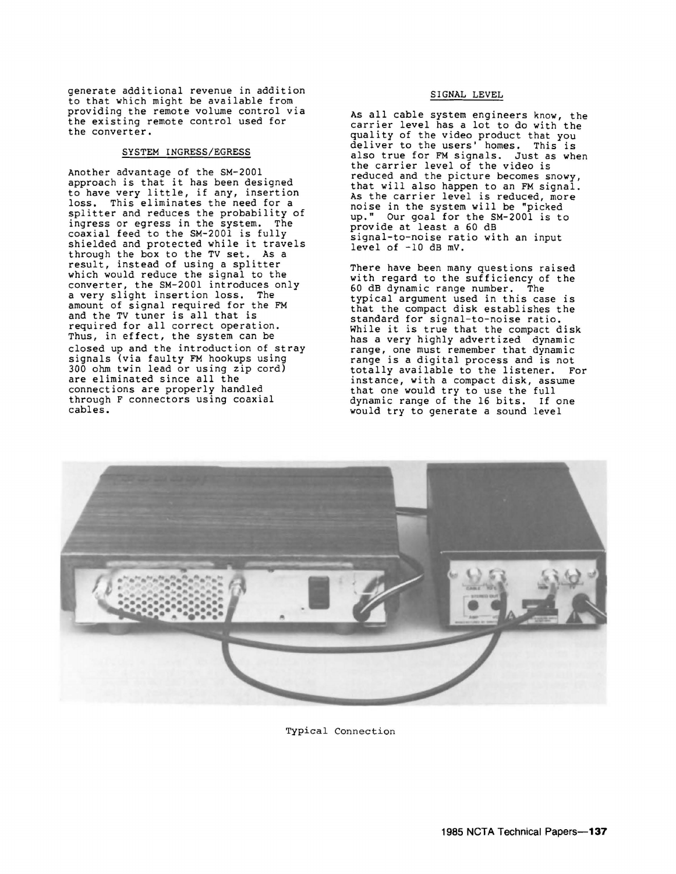generate additional revenue in addition to that which might be available from providing the remote volume control via the existing remote control used for the converter.

#### SYSTEM INGRESS/EGRESS

Another advantage of the SM-2001 approach is that it has been designed to have very little, if any, insertion loss. This eliminates the need for a splitter and reduces the probability of ingress or egress in the system. The coaxial feed to the SM-2001 is fully shielded and protected while it travels through the box to the TV set. As a result, instead of using a splitter which would reduce the signal to the converter, the SM-2001 introduces only a very slight insertion loss. The amount of signal required for the FM and the TV tuner is all that is required for all correct operation. Thus, in effect, the system can be closed up and the introduction of stray signals (via faulty FM hookups using 300 ohm twin lead or using zip cord) are eliminated since all the connections are properly handled through F connectors using coaxial cables.

#### SIGNAL LEVEL

As all cable system engineers know, the carrier level has a lot to do with the quality of the video product that you deliver to the users' homes. This is also true for FM signals. Just as when the carrier level of the video is reduced and the picture becomes snowy, that will also happen to an FM signal. As the carrier level is reduced, more noise in the system will be "picked up." Our goal for the SM-2001 is to provide at least a 60 dB signal-to-noise ratio with an input level of -10 dB mv.

There have been many questions raised with regard to the sufficiency of the 60 dB dynamic range number. The typical argument used in this case is that the compact disk establishes the standard for signal-to-noise ratio. While it is true that the compact disk has a very highly advertized dynamic range, one must remember that dynamic range is a digital process and is not totally available to the listener. For instance, with a compact disk, assume that one would try to use the full dynamic range of the 16 bits. If one would try to generate a sound level



Typical Connection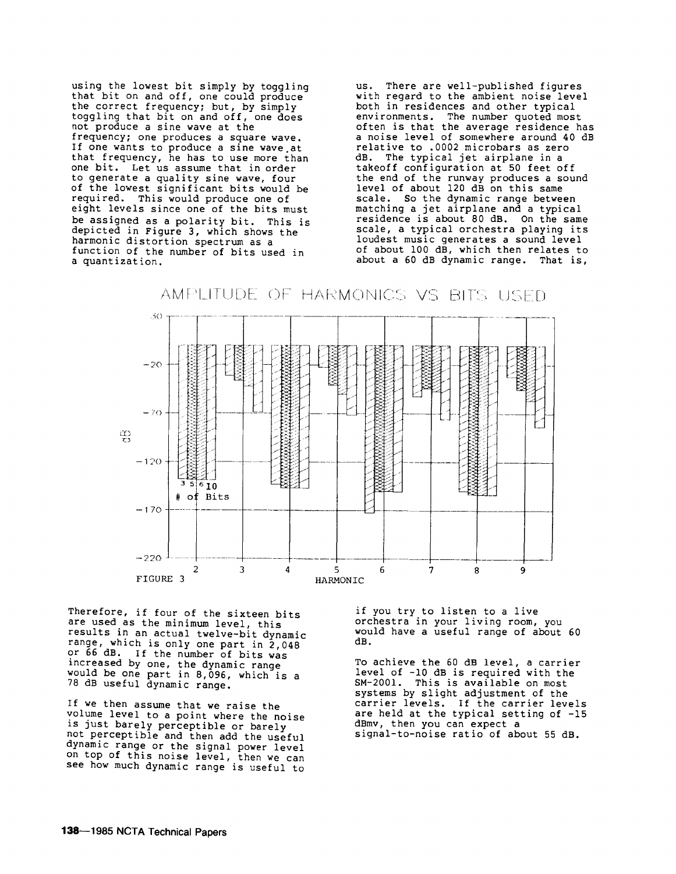using the lowest bit simply by toggling that bit on and off, one could produce the correct frequency; but, by simply toggling that bit on and off, one does not produce a sine wave at the frequency; one produces a square wave. If one wants to produce a sine wave.at that frequency, he has to use more than one bit. Let us assume that in order to generate a quality sine wave, four of the lowest significant bits would be required. This would produce one of eight levels since one of the bits must be assigned as a polarity bit. This is depicted in Figure 3, which shows the harmonic distortion spectrum as a function of the number of bits used in a quantization.

us. There are well-published figures with regard to the ambient noise level both in residences and other typical environments. The number quoted most often is that the average residence has a noise level of somewhere around 40 dB relative to .0002 microbars as zero dB. The typical jet airplane in a takeoff configuration at 50 feet off the end of the runway produces a sound level of about 120 dB on this same scale. So the dynamic range between matching a jet airplane and a typical residence is about 80 dB. On the same scale, a typical orchestra playing its loudest music generates a sound level of about 100 dB, which then relates to about a 60 dB dynamic range. That is,



AMPLITUDE OF HARMONICS VS BITS USED

Therefore, if four of the sixteen bits are used as the minimum level, this results in an actual twelve-bit dynamic range, which is only one part in  $2,048$ <br>or 66 dB. If the number of bits was If the number of bits was increased by one, the dynamic range would be one part in 8,096, which is a 78 dB useful dynamic range.

If we then assume that we raise the volume level to a point where the noise is just barely perceptible or barely not perceptible and then add the useful dynamic range or the signal power level on top of this noise level, then we can see how much dynamic range is useful to

if you try to listen to a live orchestra in your living room, you would have a useful range of about 60 dB.

To achieve the 60 dB level, a carrier level of -10 dB is required with the SM-2001. This is available on most systems by slight adjustment of the carrier levels. If the carrier levels are held at the typical setting of -15 dBmv, then you can expect a signal-to-noise ratio of about 55 dB.